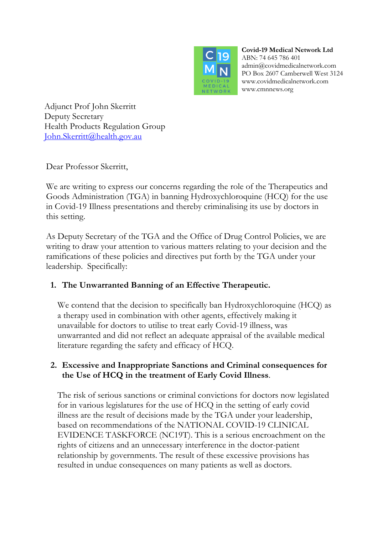

**Covid-19 Medical Network Ltd** ABN: 74 645 786 401 admin@covidmedicalnetwork.com PO Box 2607 Camberwell West 3124 www.covidmedicalnetwork.com www.cmnnews.org

Adjunct Prof John Skerritt Deputy Secretary Health Products Regulation Group John.Skerritt@health.gov.au

Dear Professor Skerritt,

We are writing to express our concerns regarding the role of the Therapeutics and Goods Administration (TGA) in banning Hydroxychloroquine (HCQ) for the use in Covid-19 Illness presentations and thereby criminalising its use by doctors in this setting.

As Deputy Secretary of the TGA and the Office of Drug Control Policies, we are writing to draw your attention to various matters relating to your decision and the ramifications of these policies and directives put forth by the TGA under your leadership. Specifically:

## **1. The Unwarranted Banning of an Effective Therapeutic.**

We contend that the decision to specifically ban Hydroxychloroquine (HCQ) as a therapy used in combination with other agents, effectively making it unavailable for doctors to utilise to treat early Covid-19 illness, was unwarranted and did not reflect an adequate appraisal of the available medical literature regarding the safety and efficacy of HCQ.

### **2. Excessive and Inappropriate Sanctions and Criminal consequences for the Use of HCQ in the treatment of Early Covid Illness**.

The risk of serious sanctions or criminal convictions for doctors now legislated for in various legislatures for the use of HCQ in the setting of early covid illness are the result of decisions made by the TGA under your leadership, based on recommendations of the NATIONAL COVID-19 CLINICAL EVIDENCE TASKFORCE (NC19T). This is a serious encroachment on the rights of citizens and an unnecessary interference in the doctor-patient relationship by governments. The result of these excessive provisions has resulted in undue consequences on many patients as well as doctors.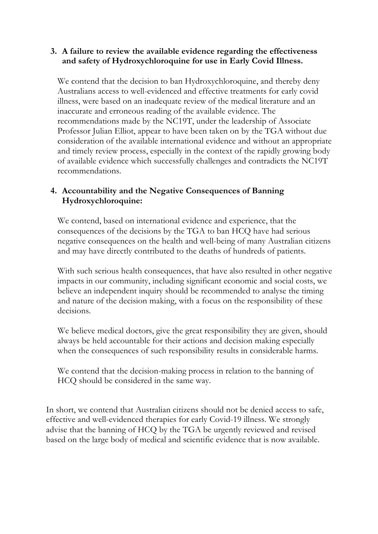#### **3. A failure to review the available evidence regarding the effectiveness and safety of Hydroxychloroquine for use in Early Covid Illness.**

We contend that the decision to ban Hydroxychloroquine, and thereby deny Australians access to well-evidenced and effective treatments for early covid illness, were based on an inadequate review of the medical literature and an inaccurate and erroneous reading of the available evidence. The recommendations made by the NC19T, under the leadership of Associate Professor Julian Elliot, appear to have been taken on by the TGA without due consideration of the available international evidence and without an appropriate and timely review process, especially in the context of the rapidly growing body of available evidence which successfully challenges and contradicts the NC19T recommendations.

#### **4. Accountability and the Negative Consequences of Banning Hydroxychloroquine:**

We contend, based on international evidence and experience, that the consequences of the decisions by the TGA to ban HCQ have had serious negative consequences on the health and well-being of many Australian citizens and may have directly contributed to the deaths of hundreds of patients.

With such serious health consequences, that have also resulted in other negative impacts in our community, including significant economic and social costs, we believe an independent inquiry should be recommended to analyse the timing and nature of the decision making, with a focus on the responsibility of these decisions.

We believe medical doctors, give the great responsibility they are given, should always be held accountable for their actions and decision making especially when the consequences of such responsibility results in considerable harms.

We contend that the decision-making process in relation to the banning of HCQ should be considered in the same way.

In short, we contend that Australian citizens should not be denied access to safe, effective and well-evidenced therapies for early Covid-19 illness. We strongly advise that the banning of HCQ by the TGA be urgently reviewed and revised based on the large body of medical and scientific evidence that is now available.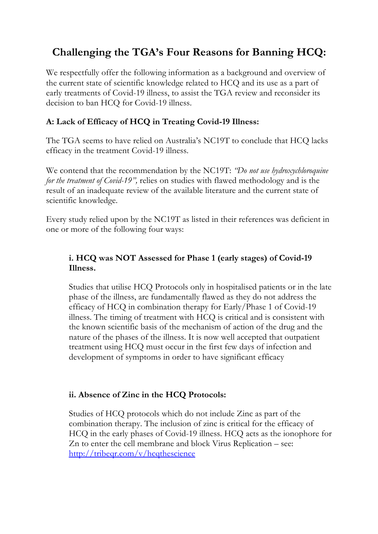## **Challenging the TGA's Four Reasons for Banning HCQ:**

We respectfully offer the following information as a background and overview of the current state of scientific knowledge related to HCQ and its use as a part of early treatments of Covid-19 illness, to assist the TGA review and reconsider its decision to ban HCQ for Covid-19 illness.

## **A: Lack of Efficacy of HCQ in Treating Covid-19 Illness:**

The TGA seems to have relied on Australia's NC19T to conclude that HCQ lacks efficacy in the treatment Covid-19 illness.

We contend that the recommendation by the NC19T: *"Do not use hydroxychloroquine for the treatment of Covid-19",* relies on studies with flawed methodology and is the result of an inadequate review of the available literature and the current state of scientific knowledge.

Every study relied upon by the NC19T as listed in their references was deficient in one or more of the following four ways:

## **i. HCQ was NOT Assessed for Phase 1 (early stages) of Covid-19 Illness.**

Studies that utilise HCQ Protocols only in hospitalised patients or in the late phase of the illness, are fundamentally flawed as they do not address the efficacy of HCQ in combination therapy for Early/Phase 1 of Covid-19 illness. The timing of treatment with HCQ is critical and is consistent with the known scientific basis of the mechanism of action of the drug and the nature of the phases of the illness. It is now well accepted that outpatient treatment using HCQ must occur in the first few days of infection and development of symptoms in order to have significant efficacy

## **ii. Absence of Zinc in the HCQ Protocols:**

Studies of HCQ protocols which do not include Zinc as part of the combination therapy. The inclusion of zinc is critical for the efficacy of HCQ in the early phases of Covid-19 illness. HCQ acts as the ionophore for Zn to enter the cell membrane and block Virus Replication – see: http://tribeqr.com/v/hcqthescience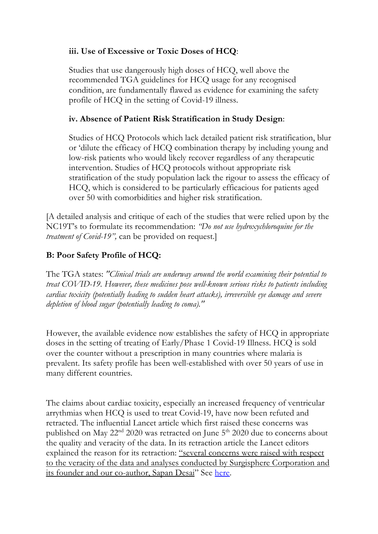### **iii. Use of Excessive or Toxic Doses of HCQ**:

Studies that use dangerously high doses of HCQ, well above the recommended TGA guidelines for HCQ usage for any recognised condition, are fundamentally flawed as evidence for examining the safety profile of HCQ in the setting of Covid-19 illness.

#### **iv. Absence of Patient Risk Stratification in Study Design**:

Studies of HCQ Protocols which lack detailed patient risk stratification, blur or 'dilute the efficacy of HCQ combination therapy by including young and low-risk patients who would likely recover regardless of any therapeutic intervention. Studies of HCQ protocols without appropriate risk stratification of the study population lack the rigour to assess the efficacy of HCQ, which is considered to be particularly efficacious for patients aged over 50 with comorbidities and higher risk stratification.

[A detailed analysis and critique of each of the studies that were relied upon by the NC19T's to formulate its recommendation: *"Do not use hydroxychloroquine for the treatment of Covid-19",* can be provided on request.]

## **B: Poor Safety Profile of HCQ:**

The TGA states: *"Clinical trials are underway around the world examining their potential to treat COVID-19. However, these medicines pose well-known serious risks to patients including cardiac toxicity (potentially leading to sudden heart attacks), irreversible eye damage and severe depletion of blood sugar (potentially leading to coma)."*

However, the available evidence now establishes the safety of HCQ in appropriate doses in the setting of treating of Early/Phase 1 Covid-19 Illness. HCQ is sold over the counter without a prescription in many countries where malaria is prevalent. Its safety profile has been well-established with over 50 years of use in many different countries.

The claims about cardiac toxicity, especially an increased frequency of ventricular arrythmias when HCQ is used to treat Covid-19, have now been refuted and retracted. The influential Lancet article which first raised these concerns was published on May 22<sup>nd</sup> 2020 was retracted on June 5<sup>th</sup> 2020 due to concerns about the quality and veracity of the data. In its retraction article the Lancet editors explained the reason for its retraction: "several concerns were raised with respect to the veracity of the data and analyses conducted by Surgisphere Corporation and its founder and our co-author, Sapan Desai" See here.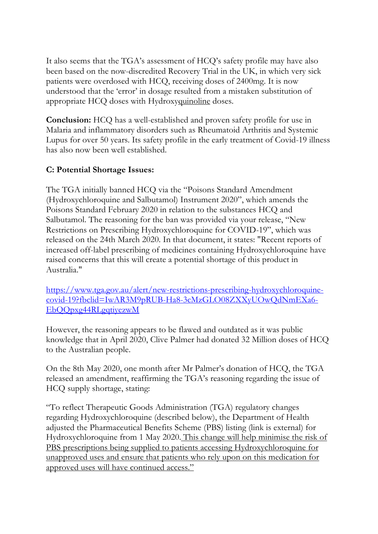It also seems that the TGA's assessment of HCQ's safety profile may have also been based on the now-discredited Recovery Trial in the UK, in which very sick patients were overdosed with HCQ, receiving doses of 2400mg. It is now understood that the 'error' in dosage resulted from a mistaken substitution of appropriate HCQ doses with Hydroxyquinoline doses.

**Conclusion:** HCQ has a well-established and proven safety profile for use in Malaria and inflammatory disorders such as Rheumatoid Arthritis and Systemic Lupus for over 50 years. Its safety profile in the early treatment of Covid-19 illness has also now been well established.

## **C: Potential Shortage Issues:**

The TGA initially banned HCQ via the "Poisons Standard Amendment (Hydroxychloroquine and Salbutamol) Instrument 2020", which amends the Poisons Standard February 2020 in relation to the substances HCQ and Salbutamol. The reasoning for the ban was provided via your release, "New Restrictions on Prescribing Hydroxychloroquine for COVID-19", which was released on the 24th March 2020. In that document, it states: "Recent reports of increased off-label prescribing of medicines containing Hydroxychloroquine have raised concerns that this will create a potential shortage of this product in Australia."

https://www.tga.gov.au/alert/new-restrictions-prescribing-hydroxychloroquinecovid-19?fbclid=IwAR3M9pRUB-Ha8-3cMzGLO08ZXXyUOwQdNmEXa6- EbQQpxg44RLgqtiyezwM

However, the reasoning appears to be flawed and outdated as it was public knowledge that in April 2020, Clive Palmer had donated 32 Million doses of HCQ to the Australian people.

On the 8th May 2020, one month after Mr Palmer's donation of HCQ, the TGA released an amendment, reaffirming the TGA's reasoning regarding the issue of HCQ supply shortage, stating:

"To reflect Therapeutic Goods Administration (TGA) regulatory changes regarding Hydroxychloroquine (described below), the Department of Health adjusted the Pharmaceutical Benefits Scheme (PBS) listing (link is external) for Hydroxychloroquine from 1 May 2020. This change will help minimise the risk of PBS prescriptions being supplied to patients accessing Hydroxychloroquine for unapproved uses and ensure that patients who rely upon on this medication for approved uses will have continued access."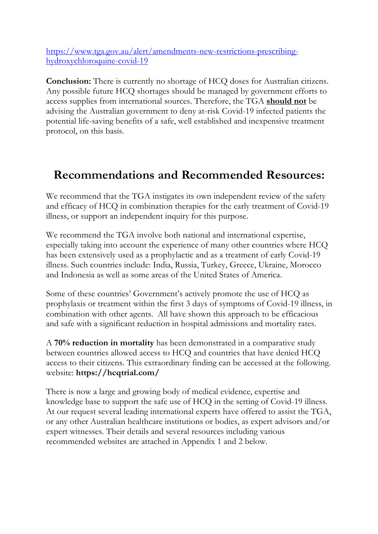https://www.tga.gov.au/alert/amendments-new-restrictions-prescribinghydroxychloroquine-covid-19

**Conclusion:** There is currently no shortage of HCQ doses for Australian citizens. Any possible future HCQ shortages should be managed by government efforts to access supplies from international sources. Therefore, the TGA **should not** be advising the Australian government to deny at-risk Covid-19 infected patients the potential life-saving benefits of a safe, well established and inexpensive treatment protocol, on this basis.

# **Recommendations and Recommended Resources:**

We recommend that the TGA instigates its own independent review of the safety and efficacy of HCQ in combination therapies for the early treatment of Covid-19 illness, or support an independent inquiry for this purpose.

We recommend the TGA involve both national and international expertise, especially taking into account the experience of many other countries where HCQ has been extensively used as a prophylactic and as a treatment of early Covid-19 illness. Such countries include: India, Russia, Turkey, Greece, Ukraine, Morocco and Indonesia as well as some areas of the United States of America.

Some of these countries' Government's actively promote the use of HCQ as prophylaxis or treatment within the first 3 days of symptoms of Covid-19 illness, in combination with other agents. All have shown this approach to be efficacious and safe with a significant reduction in hospital admissions and mortality rates.

A **70% reduction in mortality** has been demonstrated in a comparative study between countries allowed access to HCQ and countries that have denied HCQ access to their citizens. This extraordinary finding can be accessed at the following. website: **https://hcqtrial.com/**

There is now a large and growing body of medical evidence, expertise and knowledge base to support the safe use of HCQ in the setting of Covid-19 illness. At our request several leading international experts have offered to assist the TGA, or any other Australian healthcare institutions or bodies, as expert advisors and/or expert witnesses. Their details and several resources including various recommended websites are attached in Appendix 1 and 2 below.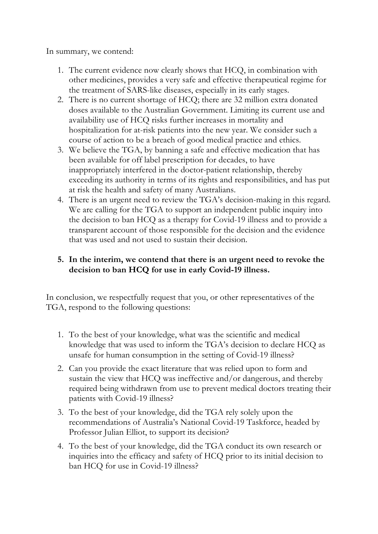In summary, we contend:

- 1. The current evidence now clearly shows that HCQ, in combination with other medicines, provides a very safe and effective therapeutical regime for the treatment of SARS-like diseases, especially in its early stages.
- 2. There is no current shortage of HCQ; there are 32 million extra donated doses available to the Australian Government. Limiting its current use and availability use of HCQ risks further increases in mortality and hospitalization for at-risk patients into the new year. We consider such a course of action to be a breach of good medical practice and ethics.
- 3. We believe the TGA, by banning a safe and effective medication that has been available for off label prescription for decades, to have inappropriately interfered in the doctor-patient relationship, thereby exceeding its authority in terms of its rights and responsibilities, and has put at risk the health and safety of many Australians.
- 4. There is an urgent need to review the TGA's decision-making in this regard. We are calling for the TGA to support an independent public inquiry into the decision to ban HCQ as a therapy for Covid-19 illness and to provide a transparent account of those responsible for the decision and the evidence that was used and not used to sustain their decision.

### **5. In the interim, we contend that there is an urgent need to revoke the decision to ban HCQ for use in early Covid-19 illness.**

In conclusion, we respectfully request that you, or other representatives of the TGA, respond to the following questions:

- 1. To the best of your knowledge, what was the scientific and medical knowledge that was used to inform the TGA's decision to declare HCQ as unsafe for human consumption in the setting of Covid-19 illness?
- 2. Can you provide the exact literature that was relied upon to form and sustain the view that HCQ was ineffective and/or dangerous, and thereby required being withdrawn from use to prevent medical doctors treating their patients with Covid-19 illness?
- 3. To the best of your knowledge, did the TGA rely solely upon the recommendations of Australia's National Covid-19 Taskforce, headed by Professor Julian Elliot, to support its decision?
- 4. To the best of your knowledge, did the TGA conduct its own research or inquiries into the efficacy and safety of HCQ prior to its initial decision to ban HCQ for use in Covid-19 illness?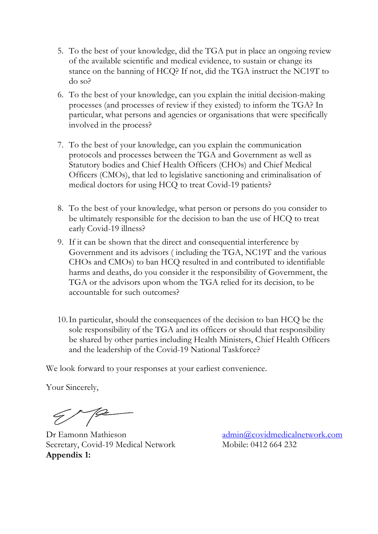- 5. To the best of your knowledge, did the TGA put in place an ongoing review of the available scientific and medical evidence, to sustain or change its stance on the banning of HCQ? If not, did the TGA instruct the NC19T to do so?
- 6. To the best of your knowledge, can you explain the initial decision-making processes (and processes of review if they existed) to inform the TGA? In particular, what persons and agencies or organisations that were specifically involved in the process?
- 7. To the best of your knowledge, can you explain the communication protocols and processes between the TGA and Government as well as Statutory bodies and Chief Health Officers (CHOs) and Chief Medical Officers (CMOs), that led to legislative sanctioning and criminalisation of medical doctors for using HCQ to treat Covid-19 patients?
- 8. To the best of your knowledge, what person or persons do you consider to be ultimately responsible for the decision to ban the use of HCQ to treat early Covid-19 illness?
- 9. If it can be shown that the direct and consequential interference by Government and its advisors ( including the TGA, NC19T and the various CHOs and CMOs) to ban HCQ resulted in and contributed to identifiable harms and deaths, do you consider it the responsibility of Government, the TGA or the advisors upon whom the TGA relied for its decision, to be accountable for such outcomes?
- 10.In particular, should the consequences of the decision to ban HCQ be the sole responsibility of the TGA and its officers or should that responsibility be shared by other parties including Health Ministers, Chief Health Officers and the leadership of the Covid-19 National Taskforce?

We look forward to your responses at your earliest convenience.

Your Sincerely,

 $\mathscr{C}$ 

Dr Eamonn Mathieson Secretary, Covid-19 Medical Network **Appendix 1:**

admin@covidmedicalnetwork.com Mobile: 0412 664 232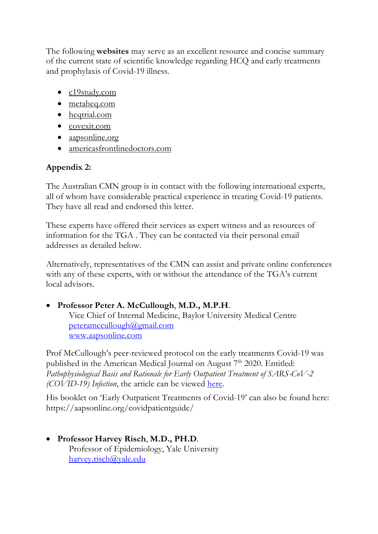The following **websites** may serve as an excellent resource and concise summary of the current state of scientific knowledge regarding HCQ and early treatments and prophylaxis of Covid-19 illness.

- c19study.com
- metahcq.com
- hcqtrial.com
- covexit.com
- aapsonline.org
- americasfrontlinedoctors.com

## **Appendix 2:**

The Australian CMN group is in contact with the following international experts, all of whom have considerable practical experience in treating Covid-19 patients. They have all read and endorsed this letter.

These experts have offered their services as expert witness and as resources of information for the TGA . They can be contacted via their personal email addresses as detailed below.

Alternatively, representatives of the CMN can assist and private online conferences with any of these experts, with or without the attendance of the TGA's current local advisors.

## • **Professor Peter A. McCullough**, **M.D., M.P.H**.

Vice Chief of Internal Medicine, Baylor University Medical Centre peteramccullough@gmail.com www.aapsonline.com

Prof McCullough's peer-reviewed protocol on the early treatments Covid-19 was published in the American Medical Journal on August 7<sup>th</sup> 2020. Entitled: *Pathophysiological Basis and Rationale for Early Outpatient Treatment of SARS-CoV-2 (COVID-19) Infection*, the article can be viewed here.

His booklet on 'Early Outpatient Treatments of Covid-19' can also be found here: https://aapsonline.org/covidpatientguide/

### • **Professor Harvey Risch**, **M.D., PH.D**. Professor of Epidemiology, Yale University harvey.risch@yale.edu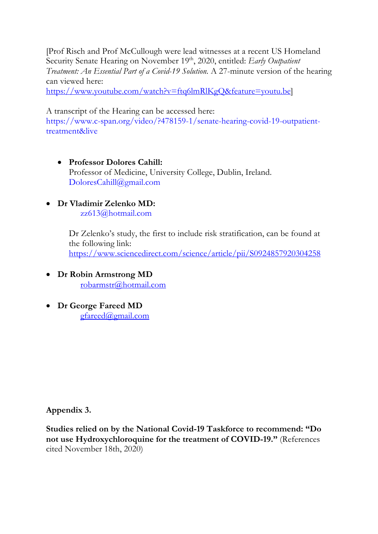[Prof Risch and Prof McCullough were lead witnesses at a recent US Homeland Security Senate Hearing on November 19<sup>th</sup>, 2020, entitled: *Early Outpatient Treatment: An Essential Part of a Covid-19 Solution.* A 27-minute version of the hearing can viewed here:

https://www.youtube.com/watch?v=ftq6lmRlKgQ&feature=youtu.be]

A transcript of the Hearing can be accessed here:

https://www.c-span.org/video/?478159-1/senate-hearing-covid-19-outpatienttreatment&live

- **Professor Dolores Cahill:**  Professor of Medicine, University College, Dublin, Ireland. DoloresCahill@gmail.com
- **Dr Vladimir Zelenko MD:**

zz613@hotmail.com

Dr Zelenko's study, the first to include risk stratification, can be found at the following link: https://www.sciencedirect.com/science/article/pii/S0924857920304258

- **Dr Robin Armstrong MD** robarmstr@hotmail.com
- **Dr George Fareed MD** gfareed@gmail.com

**Appendix 3.** 

**Studies relied on by the National Covid-19 Taskforce to recommend: "Do not use Hydroxychloroquine for the treatment of COVID-19."** (References cited November 18th, 2020)